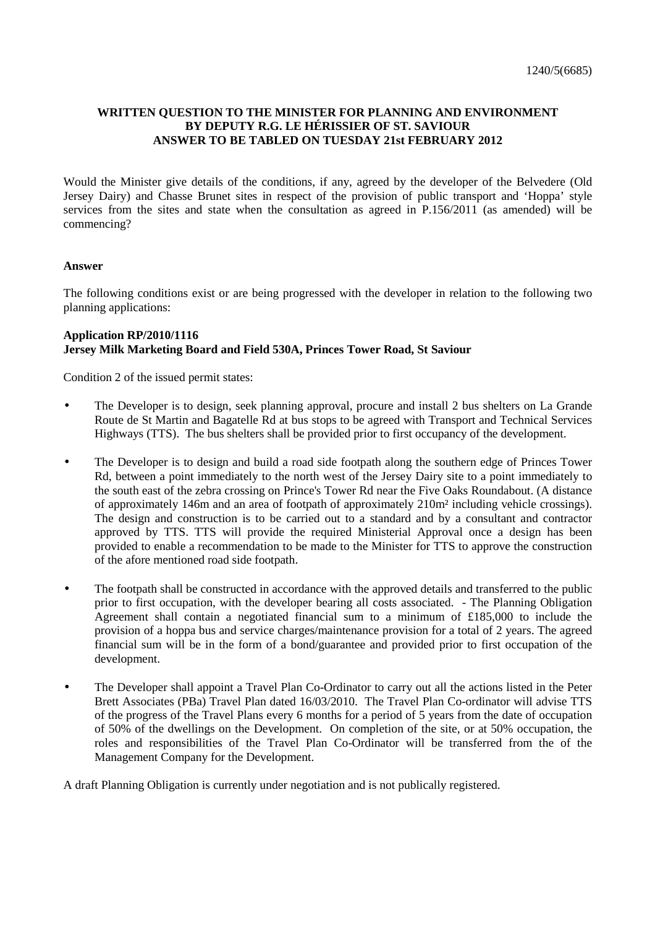## **WRITTEN QUESTION TO THE MINISTER FOR PLANNING AND ENVIRONMENT BY DEPUTY R.G. LE HÉRISSIER OF ST. SAVIOUR ANSWER TO BE TABLED ON TUESDAY 21st FEBRUARY 2012**

Would the Minister give details of the conditions, if any, agreed by the developer of the Belvedere (Old Jersey Dairy) and Chasse Brunet sites in respect of the provision of public transport and 'Hoppa' style services from the sites and state when the consultation as agreed in P.156/2011 (as amended) will be commencing?

## **Answer**

The following conditions exist or are being progressed with the developer in relation to the following two planning applications:

## **Application RP/2010/1116 Jersey Milk Marketing Board and Field 530A, Princes Tower Road, St Saviour**

Condition 2 of the issued permit states:

- The Developer is to design, seek planning approval, procure and install 2 bus shelters on La Grande Route de St Martin and Bagatelle Rd at bus stops to be agreed with Transport and Technical Services Highways (TTS). The bus shelters shall be provided prior to first occupancy of the development.
- The Developer is to design and build a road side footpath along the southern edge of Princes Tower Rd, between a point immediately to the north west of the Jersey Dairy site to a point immediately to the south east of the zebra crossing on Prince's Tower Rd near the Five Oaks Roundabout. (A distance of approximately 146m and an area of footpath of approximately 210m² including vehicle crossings). The design and construction is to be carried out to a standard and by a consultant and contractor approved by TTS. TTS will provide the required Ministerial Approval once a design has been provided to enable a recommendation to be made to the Minister for TTS to approve the construction of the afore mentioned road side footpath.
- The footpath shall be constructed in accordance with the approved details and transferred to the public prior to first occupation, with the developer bearing all costs associated. - The Planning Obligation Agreement shall contain a negotiated financial sum to a minimum of £185,000 to include the provision of a hoppa bus and service charges/maintenance provision for a total of 2 years. The agreed financial sum will be in the form of a bond/guarantee and provided prior to first occupation of the development.
- The Developer shall appoint a Travel Plan Co-Ordinator to carry out all the actions listed in the Peter Brett Associates (PBa) Travel Plan dated 16/03/2010. The Travel Plan Co-ordinator will advise TTS of the progress of the Travel Plans every 6 months for a period of 5 years from the date of occupation of 50% of the dwellings on the Development. On completion of the site, or at 50% occupation, the roles and responsibilities of the Travel Plan Co-Ordinator will be transferred from the of the Management Company for the Development.

A draft Planning Obligation is currently under negotiation and is not publically registered.